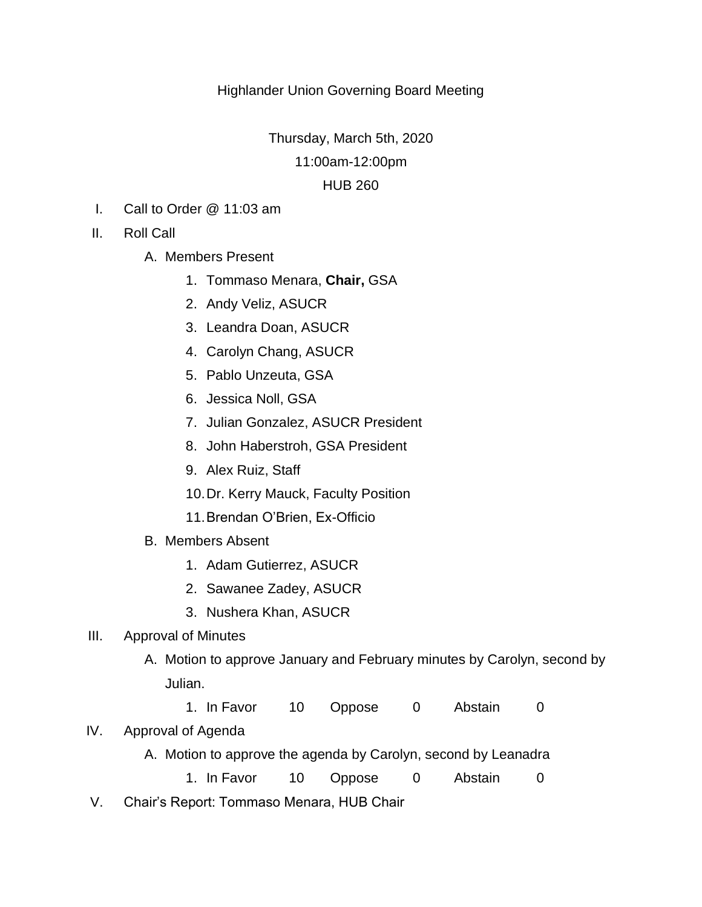# Highlander Union Governing Board Meeting

Thursday, March 5th, 2020

11:00am-12:00pm

## HUB 260

- I. Call to Order @ 11:03 am
- II. Roll Call
	- A. Members Present
		- 1. Tommaso Menara, **Chair,** GSA
		- 2. Andy Veliz, ASUCR
		- 3. Leandra Doan, ASUCR
		- 4. Carolyn Chang, ASUCR
		- 5. Pablo Unzeuta, GSA
		- 6. Jessica Noll, GSA
		- 7. Julian Gonzalez, ASUCR President
		- 8. John Haberstroh, GSA President
		- 9. Alex Ruiz, Staff
		- 10.Dr. Kerry Mauck, Faculty Position
		- 11.Brendan O'Brien, Ex-Officio
	- B. Members Absent
		- 1. Adam Gutierrez, ASUCR
		- 2. Sawanee Zadey, ASUCR
		- 3. Nushera Khan, ASUCR

## III. Approval of Minutes

- A. Motion to approve January and February minutes by Carolyn, second by Julian.
	- 1. In Favor 10 Oppose 0 Abstain 0

## IV. Approval of Agenda

A. Motion to approve the agenda by Carolyn, second by Leanadra

1. In Favor 10 Oppose 0 Abstain 0

V. Chair's Report: Tommaso Menara, HUB Chair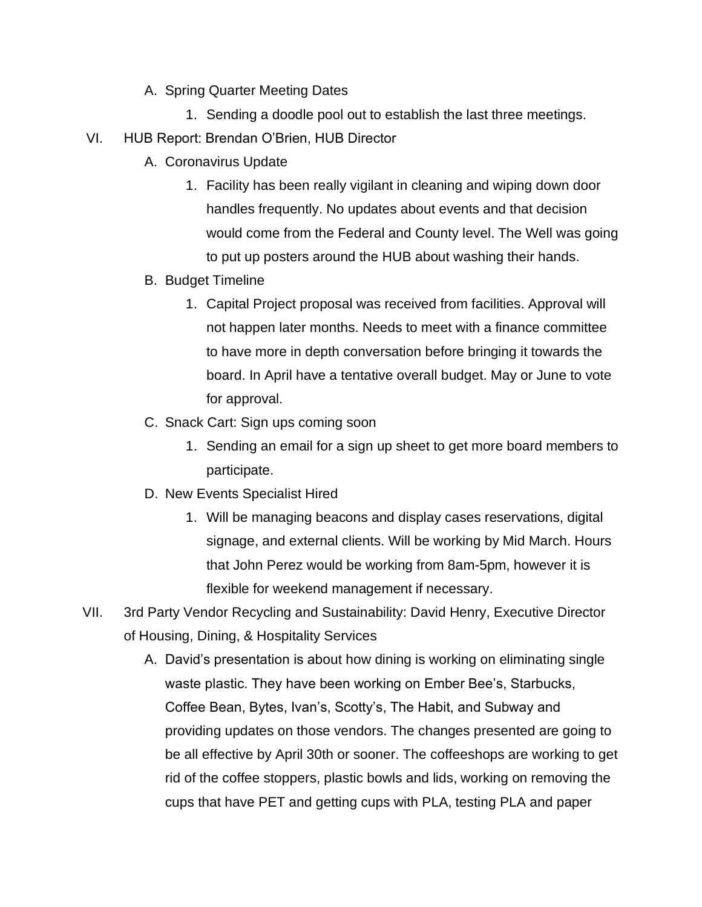- A. Spring Quarter Meeting Dates
	- 1. Sending a doodle pool out to establish the last three meetings.
- VI. HUB Report: Brendan O'Brien, HUB Director
	- A. Coronavirus Update
		- 1. Facility has been really vigilant in cleaning and wiping down door handles frequently. No updates about events and that decision would come from the Federal and County level. The Well was going to put up posters around the HUB about washing their hands.
	- B. Budget Timeline
		- 1. Capital Project proposal was received from facilities. Approval will not happen later months. Needs to meet with a finance committee to have more in depth conversation before bringing it towards the board. In April have a tentative overall budget. May or June to vote for approval.
	- C. Snack Cart: Sign ups coming soon
		- 1. Sending an email for a sign up sheet to get more board members to participate.
	- D. New Events Specialist Hired
		- 1. Will be managing beacons and display cases reservations, digital signage, and external clients. Will be working by Mid March. Hours that John Perez would be working from 8am-5pm, however it is flexible for weekend management if necessary.
- VII. 3rd Party Vendor Recycling and Sustainability: David Henry, Executive Director of Housing, Dining, & Hospitality Services
	- A. David's presentation is about how dining is working on eliminating single waste plastic. They have been working on Ember Bee's, Starbucks, Coffee Bean, Bytes, Ivan's, Scotty's, The Habit, and Subway and providing updates on those vendors. The changes presented are going to be all effective by April 30th or sooner. The coffeeshops are working to get rid of the coffee stoppers, plastic bowls and lids, working on removing the cups that have PET and getting cups with PLA, testing PLA and paper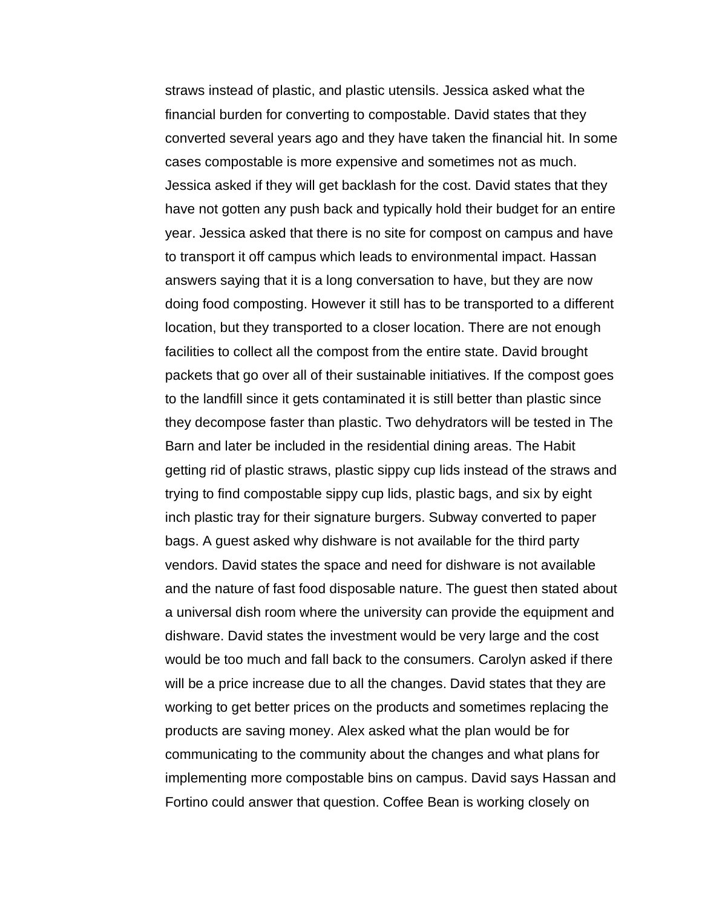straws instead of plastic, and plastic utensils. Jessica asked what the financial burden for converting to compostable. David states that they converted several years ago and they have taken the financial hit. In some cases compostable is more expensive and sometimes not as much. Jessica asked if they will get backlash for the cost. David states that they have not gotten any push back and typically hold their budget for an entire year. Jessica asked that there is no site for compost on campus and have to transport it off campus which leads to environmental impact. Hassan answers saying that it is a long conversation to have, but they are now doing food composting. However it still has to be transported to a different location, but they transported to a closer location. There are not enough facilities to collect all the compost from the entire state. David brought packets that go over all of their sustainable initiatives. If the compost goes to the landfill since it gets contaminated it is still better than plastic since they decompose faster than plastic. Two dehydrators will be tested in The Barn and later be included in the residential dining areas. The Habit getting rid of plastic straws, plastic sippy cup lids instead of the straws and trying to find compostable sippy cup lids, plastic bags, and six by eight inch plastic tray for their signature burgers. Subway converted to paper bags. A guest asked why dishware is not available for the third party vendors. David states the space and need for dishware is not available and the nature of fast food disposable nature. The guest then stated about a universal dish room where the university can provide the equipment and dishware. David states the investment would be very large and the cost would be too much and fall back to the consumers. Carolyn asked if there will be a price increase due to all the changes. David states that they are working to get better prices on the products and sometimes replacing the products are saving money. Alex asked what the plan would be for communicating to the community about the changes and what plans for implementing more compostable bins on campus. David says Hassan and Fortino could answer that question. Coffee Bean is working closely on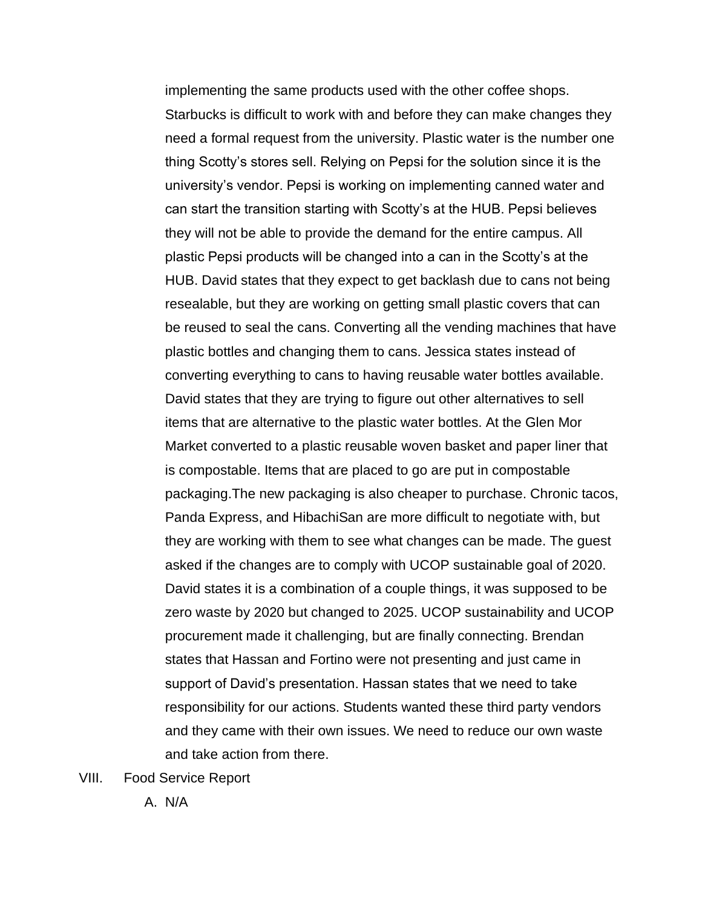implementing the same products used with the other coffee shops. Starbucks is difficult to work with and before they can make changes they need a formal request from the university. Plastic water is the number one thing Scotty's stores sell. Relying on Pepsi for the solution since it is the university's vendor. Pepsi is working on implementing canned water and can start the transition starting with Scotty's at the HUB. Pepsi believes they will not be able to provide the demand for the entire campus. All plastic Pepsi products will be changed into a can in the Scotty's at the HUB. David states that they expect to get backlash due to cans not being resealable, but they are working on getting small plastic covers that can be reused to seal the cans. Converting all the vending machines that have plastic bottles and changing them to cans. Jessica states instead of converting everything to cans to having reusable water bottles available. David states that they are trying to figure out other alternatives to sell items that are alternative to the plastic water bottles. At the Glen Mor Market converted to a plastic reusable woven basket and paper liner that is compostable. Items that are placed to go are put in compostable packaging.The new packaging is also cheaper to purchase. Chronic tacos, Panda Express, and HibachiSan are more difficult to negotiate with, but they are working with them to see what changes can be made. The guest asked if the changes are to comply with UCOP sustainable goal of 2020. David states it is a combination of a couple things, it was supposed to be zero waste by 2020 but changed to 2025. UCOP sustainability and UCOP procurement made it challenging, but are finally connecting. Brendan states that Hassan and Fortino were not presenting and just came in support of David's presentation. Hassan states that we need to take responsibility for our actions. Students wanted these third party vendors and they came with their own issues. We need to reduce our own waste and take action from there.

VIII. Food Service Report

A. N/A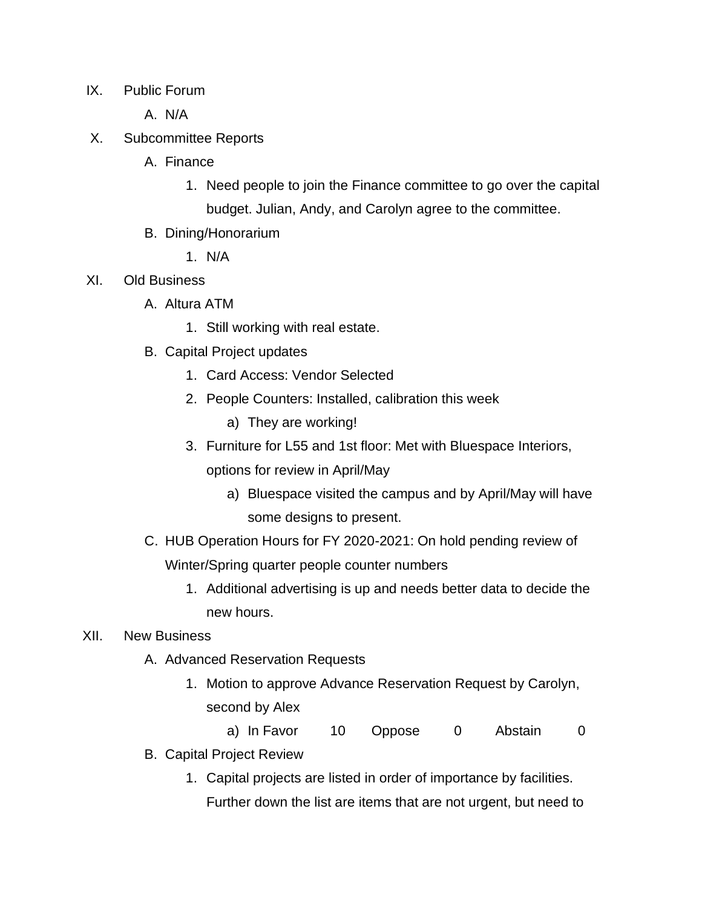- IX. Public Forum
	- A. N/A
- X. Subcommittee Reports
	- A. Finance
		- 1. Need people to join the Finance committee to go over the capital budget. Julian, Andy, and Carolyn agree to the committee.
	- B. Dining/Honorarium
		- 1. N/A
- XI. Old Business
	- A. Altura ATM
		- 1. Still working with real estate.
	- B. Capital Project updates
		- 1. Card Access: Vendor Selected
		- 2. People Counters: Installed, calibration this week
			- a) They are working!
		- 3. Furniture for L55 and 1st floor: Met with Bluespace Interiors,

options for review in April/May

- a) Bluespace visited the campus and by April/May will have some designs to present.
- C. HUB Operation Hours for FY 2020-2021: On hold pending review of Winter/Spring quarter people counter numbers
	- 1. Additional advertising is up and needs better data to decide the new hours.

## XII. New Business

- A. Advanced Reservation Requests
	- 1. Motion to approve Advance Reservation Request by Carolyn, second by Alex
		- a) In Favor 10 Oppose 0 Abstain 0
- B. Capital Project Review
	- 1. Capital projects are listed in order of importance by facilities. Further down the list are items that are not urgent, but need to